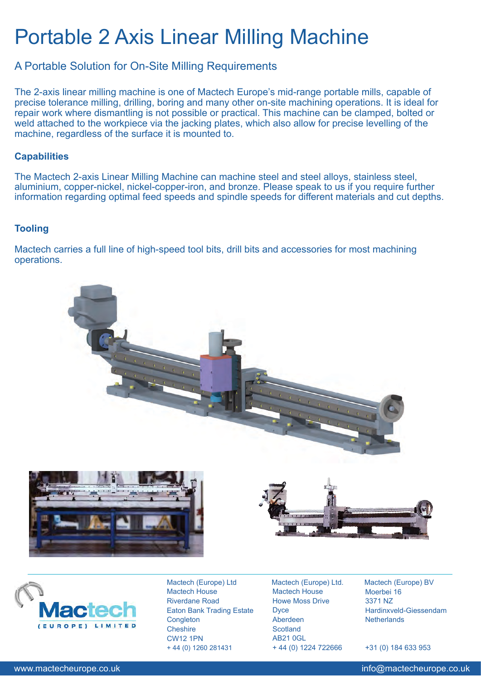# Portable 2 Axis Linear Milling Machine

## A Portable Solution for On-Site Milling Requirements

The 2-axis linear milling machine is one of Mactech Europe's mid-range portable mills, capable of precise tolerance milling, drilling, boring and many other on-site machining operations. It is ideal for repair work where dismantling is not possible or practical. This machine can be clamped, bolted or weld attached to the workpiece via the jacking plates, which also allow for precise levelling of the machine, regardless of the surface it is mounted to.

### **Capabilities**

The Mactech 2-axis Linear Milling Machine can machine steel and steel alloys, stainless steel, aluminium, copper-nickel, nickel-copper-iron, and bronze. Please speak to us if you require further information regarding optimal feed speeds and spindle speeds for different materials and cut depths.

### **Tooling**

Mactech carries a full line of high-speed tool bits, drill bits and accessories for most machining operations.





Mactech (Europe) Ltd Mactech House Riverdane Road Eaton Bank Trading Estate **Congleton Cheshire** CW12 1PN + 44 (0) 1260 281431

Mactech (Europe) Ltd. Mactech House Howe Moss Drive **D**vce Aberdeen **Scotland** AB21 0GL + 44 (0) 1224 722666

Mactech (Europe) BV Moerbei 16 3371 NZ Hardinxveld-Giessendam **Netherlands** 

+31 (0) 184 633 953